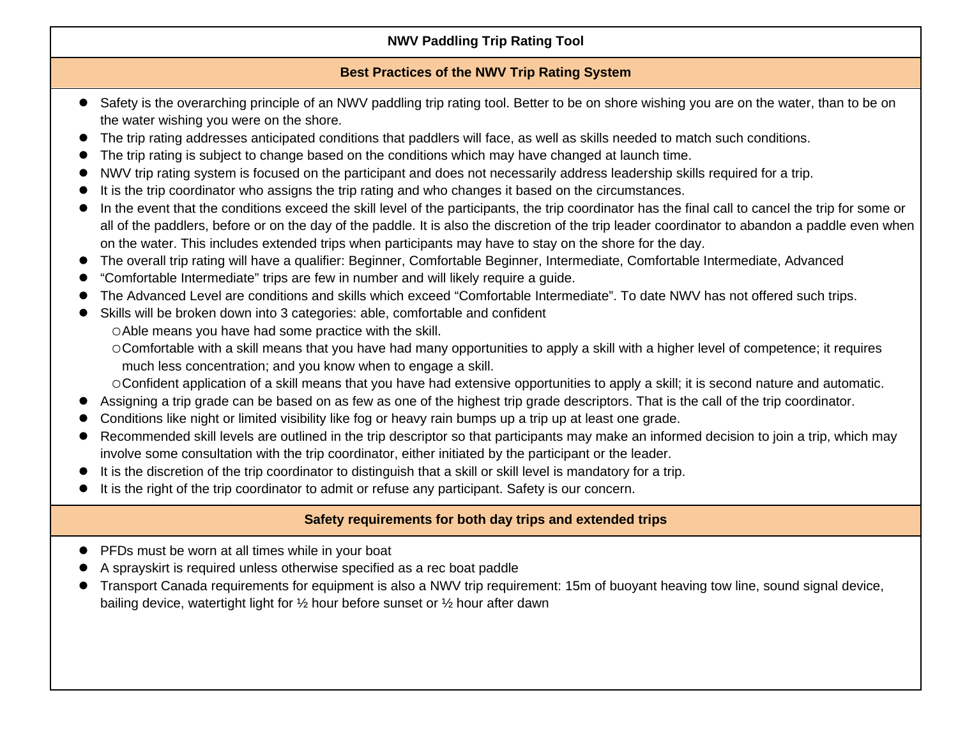## **NWV Paddling Trip Rating Tool**

## **Best Practices of the NWV Trip Rating System**

- Safety is the overarching principle of an NWV paddling trip rating tool. Better to be on shore wishing you are on the water, than to be on the water wishing you were on the shore.
- The trip rating addresses anticipated conditions that paddlers will face, as well as skills needed to match such conditions.
- The trip rating is subject to change based on the conditions which may have changed at launch time.
- NWV trip rating system is focused on the participant and does not necessarily address leadership skills required for a trip.
- It is the trip coordinator who assigns the trip rating and who changes it based on the circumstances.
- In the event that the conditions exceed the skill level of the participants, the trip coordinator has the final call to cancel the trip for some or all of the paddlers, before or on the day of the paddle. It is also the discretion of the trip leader coordinator to abandon a paddle even when on the water. This includes extended trips when participants may have to stay on the shore for the day.
- The overall trip rating will have a qualifier: Beginner, Comfortable Beginner, Intermediate, Comfortable Intermediate, Advanced
- "Comfortable Intermediate" trips are few in number and will likely require a guide.
- The Advanced Level are conditions and skills which exceed "Comfortable Intermediate". To date NWV has not offered such trips.
- Skills will be broken down into 3 categories: able, comfortable and confident
	- Able means you have had some practice with the skill.
	- Comfortable with a skill means that you have had many opportunities to apply a skill with a higher level of competence; it requires much less concentration; and you know when to engage a skill.

Confident application of a skill means that you have had extensive opportunities to apply a skill; it is second nature and automatic.

- Assigning a trip grade can be based on as few as one of the highest trip grade descriptors. That is the call of the trip coordinator.
- Conditions like night or limited visibility like fog or heavy rain bumps up a trip up at least one grade.
- Recommended skill levels are outlined in the trip descriptor so that participants may make an informed decision to join a trip, which may involve some consultation with the trip coordinator, either initiated by the participant or the leader.
- It is the discretion of the trip coordinator to distinguish that a skill or skill level is mandatory for a trip.
- It is the right of the trip coordinator to admit or refuse any participant. Safety is our concern.

## **Safety requirements for both day trips and extended trips**

- PFDs must be worn at all times while in your boat
- A sprayskirt is required unless otherwise specified as a rec boat paddle
- Transport Canada requirements for equipment is also a NWV trip requirement: 15m of buoyant heaving tow line, sound signal device, bailing device, watertight light for ½ hour before sunset or ½ hour after dawn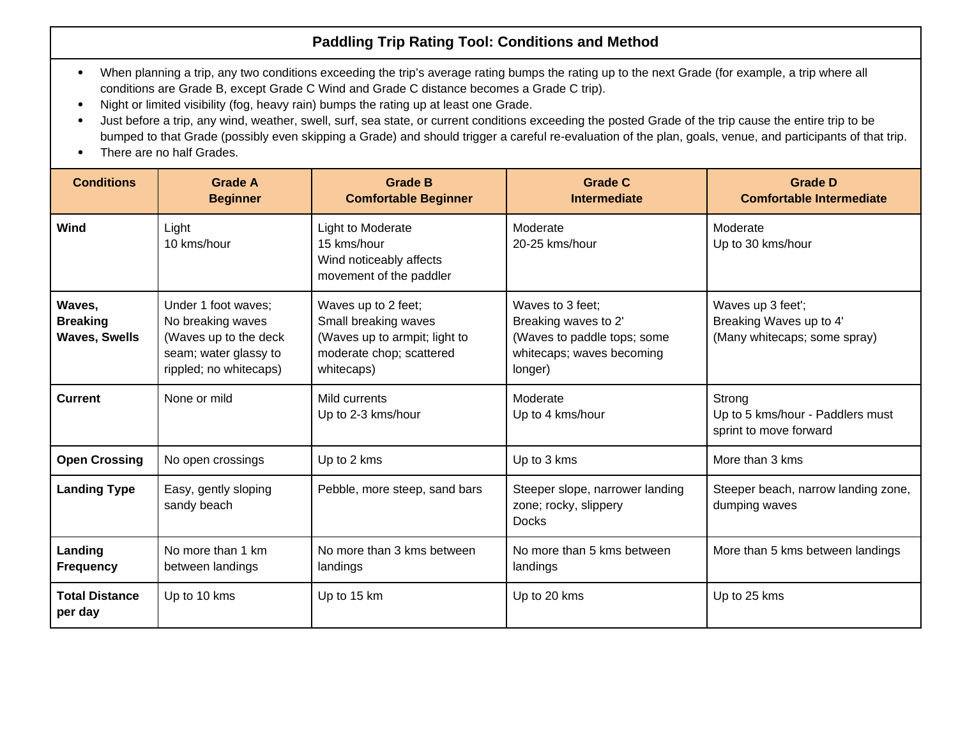## **Paddling Trip Rating Tool: Conditions and Method**

- When planning a trip, any two conditions exceeding the trip's average rating bumps the rating up to the next Grade (for example, a trip where all conditions are Grade B, except Grade C Wind and Grade C distance becomes a Grade C trip).
- Night or limited visibility (fog, heavy rain) bumps the rating up at least one Grade.
- Just before a trip, any wind, weather, swell, surf, sea state, or current conditions exceeding the posted Grade of the trip cause the entire trip to be bumped to that Grade (possibly even skipping a Grade) and should trigger a careful re-evaluation of the plan, goals, venue, and participants of that trip.
- There are no half Grades.

| <b>Conditions</b>                                 | <b>Grade A</b><br><b>Beginner</b>                                                                                    | <b>Grade B</b><br><b>Comfortable Beginner</b>                                                                          | <b>Grade C</b><br><b>Intermediate</b>                                                                           | <b>Grade D</b><br><b>Comfortable Intermediate</b>                            |
|---------------------------------------------------|----------------------------------------------------------------------------------------------------------------------|------------------------------------------------------------------------------------------------------------------------|-----------------------------------------------------------------------------------------------------------------|------------------------------------------------------------------------------|
| Wind                                              | Light<br>10 kms/hour                                                                                                 | Light to Moderate<br>15 kms/hour<br>Wind noticeably affects<br>movement of the paddler                                 | Moderate<br>20-25 kms/hour                                                                                      | Moderate<br>Up to 30 kms/hour                                                |
| Waves,<br><b>Breaking</b><br><b>Waves, Swells</b> | Under 1 foot waves;<br>No breaking waves<br>(Waves up to the deck<br>seam; water glassy to<br>rippled; no whitecaps) | Waves up to 2 feet;<br>Small breaking waves<br>(Waves up to armpit; light to<br>moderate chop; scattered<br>whitecaps) | Waves to 3 feet;<br>Breaking waves to 2'<br>(Waves to paddle tops; some<br>whitecaps; waves becoming<br>longer) | Waves up 3 feet';<br>Breaking Waves up to 4'<br>(Many whitecaps; some spray) |
| <b>Current</b>                                    | None or mild                                                                                                         | Mild currents<br>Up to 2-3 kms/hour                                                                                    | Moderate<br>Up to 4 kms/hour                                                                                    | Strong<br>Up to 5 kms/hour - Paddlers must<br>sprint to move forward         |
| <b>Open Crossing</b>                              | No open crossings                                                                                                    | Up to 2 kms                                                                                                            | Up to 3 kms                                                                                                     | More than 3 kms                                                              |
| <b>Landing Type</b>                               | Easy, gently sloping<br>sandy beach                                                                                  | Pebble, more steep, sand bars                                                                                          | Steeper slope, narrower landing<br>zone; rocky, slippery<br><b>Docks</b>                                        | Steeper beach, narrow landing zone,<br>dumping waves                         |
| Landing<br><b>Frequency</b>                       | No more than 1 km<br>between landings                                                                                | No more than 3 kms between<br>landings                                                                                 | No more than 5 kms between<br>landings                                                                          | More than 5 kms between landings                                             |
| <b>Total Distance</b><br>per day                  | Up to 10 kms                                                                                                         | Up to 15 km                                                                                                            | Up to 20 kms                                                                                                    | Up to 25 kms                                                                 |